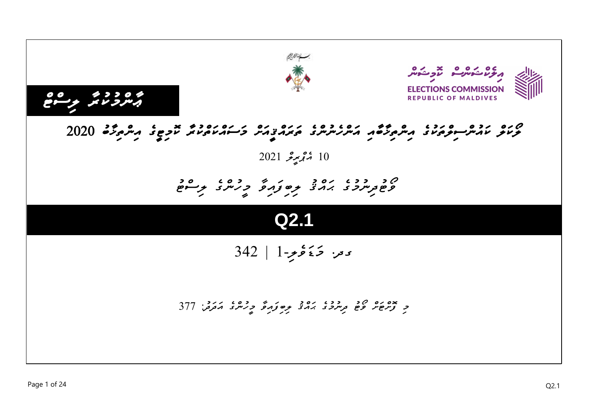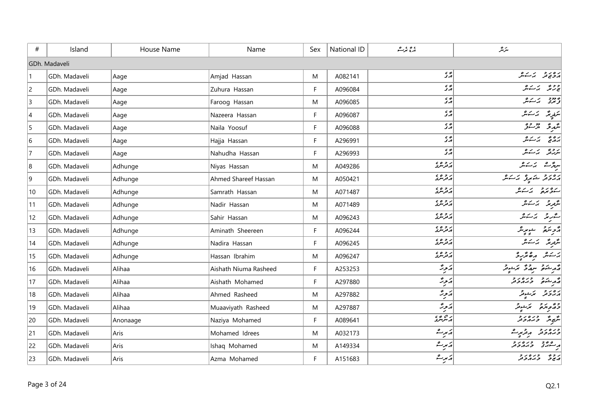| #                | Island        | House Name | Name                  | Sex       | National ID | ړه پر ه             | ىئرىتر                                                 |
|------------------|---------------|------------|-----------------------|-----------|-------------|---------------------|--------------------------------------------------------|
|                  | GDh. Madaveli |            |                       |           |             |                     |                                                        |
|                  | GDh. Madaveli | Aage       | Amjad Hassan          | ${\sf M}$ | A082141     | پر ج                |                                                        |
| $ 2\rangle$      | GDh. Madaveli | Aage       | Zuhura Hassan         | F         | A096084     | پر ج                | ج ح چې پر پر کمبر                                      |
| $\overline{3}$   | GDh. Madaveli | Aage       | Faroog Hassan         | M         | A096085     | <br>  مر ی          | أزهزوا برسكس                                           |
| 4                | GDh. Madaveli | Aage       | Nazeera Hassan        | F         | A096087     | ا پر د<br>امر       | شەرىخە   ئەستەنتى                                      |
| 5                | GDh. Madaveli | Aage       | Naila Yoosuf          | F         | A096088     | پر ج<br>مرم         | شمېر شو ده.<br>سرچينې                                  |
| $\sqrt{6}$       | GDh. Madaveli | Aage       | Hajja Hassan          | F         | A296991     | پو می<br>مرمی       | پروتج   پرسکس                                          |
| $\overline{7}$   | GDh. Madaveli | Aage       | Nahudha Hassan        | F         | A296993     | پر ج                | يَرْرُقُ - يَرْسَوْسُ                                  |
| 8                | GDh. Madaveli | Adhunge    | Niyas Hassan          | M         | A049286     | ەر جەم ي            | سرمز سے برسک                                           |
| $\boldsymbol{9}$ | GDh. Madaveli | Adhunge    | Ahmed Shareef Hassan  | ${\sf M}$ | A050421     | پر و ه ،<br>پرترسر  | أرەر دا ئىستىر ئەسەر                                   |
| 10               | GDh. Madaveli | Adhunge    | Samrath Hassan        | ${\sf M}$ | A071487     | ەر جەم ي            | سوسره پرسهر                                            |
| 11               | GDh. Madaveli | Adhunge    | Nadir Hassan          | ${\sf M}$ | A071489     | ر و ه ،<br>پرترس    | شەرىر   ئەسەس                                          |
| 12               | GDh. Madaveli | Adhunge    | Sahir Hassan          | M         | A096243     | بر و ۵ ء<br>مرتوسری | سىرىتى ئەسەھە                                          |
| 13               | GDh. Madaveli | Adhunge    | Aminath Sheereen      | F         | A096244     | پر و ه ،<br>پرترسر  | ە ئەرسىمى سىمدىرى<br>مەرسىمى سىمدىرى<br>سەبىرى مەسەبىر |
| 14               | GDh. Madaveli | Adhunge    | Nadira Hassan         | F         | A096245     | بر و ۵ ء<br>مرتوسری |                                                        |
| 15               | GDh. Madaveli | Adhunge    | Hassan Ibrahim        | ${\sf M}$ | A096247     | پر و ه ،<br>پرترسر  | برسكس مرەمگرىي                                         |
| 16               | GDh. Madaveli | Alihaa     | Aishath Niuma Rasheed | F         | A253253     | رَحزِرَّ            |                                                        |
| 17               | GDh. Madaveli | Alihaa     | Aishath Mohamed       | F         | A297880     | رَمِرُّ             | أحمد شده وبره د و                                      |
| 18               | GDh. Madaveli | Alihaa     | Ahmed Rasheed         | M         | A297882     | رَمِرُّ             | ره ر د سر سر د د                                       |
| 19               | GDh. Madaveli | Alihaa     | Muaaviyath Rasheed    | M         | A297887     | رَمزِرَّ            | وشورة بمشوتر                                           |
| 20               | GDh. Madaveli | Anonaage   | Naziya Mohamed        | F         | A089641     | پرچيږي              | شي دره در                                              |
| 21               | GDh. Madaveli | Aris       | Mohamed Idrees        | M         | A032173     | رئىرىشە             | ورەرو مەر                                              |
| 22               | GDh. Madaveli | Aris       | Ishaq Mohamed         | M         | A149334     | رئىرىشە             | و من در در د                                           |
| 23               | GDh. Madaveli | Aris       | Azma Mohamed          | F         | A151683     | ەئەبەيە             | 5,0,0,0,0,0,0,0,0                                      |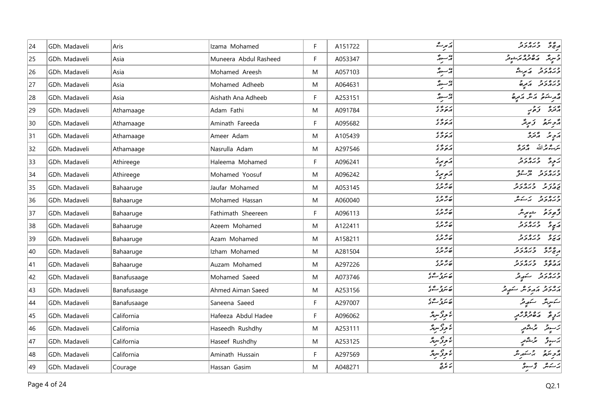| 24 | GDh. Madaveli | Aris        | Izama Mohamed            | F  | A151722 | لئهبر                                    |                                                 |
|----|---------------|-------------|--------------------------|----|---------|------------------------------------------|-------------------------------------------------|
| 25 | GDh. Madaveli | Asia        | Muneera Abdul Rasheed    | F. | A053347 | دسسترور                                  | و مريد ده وه د د و د                            |
| 26 | GDh. Madaveli | Asia        | Mohamed Areesh           | M  | A057103 | ار<br>اس سر                              |                                                 |
| 27 | GDh. Madaveli | Asia        | Mohamed Adheeb           | M  | A064631 | ومسبقه                                   | وره رو د کرده<br>در درو د کرده                  |
| 28 | GDh. Madaveli | Asia        | Aishath Ana Adheeb       | F  | A253151 | لأسبقه                                   | و المستحقی و کمی و کرده                         |
| 29 | GDh. Madaveli | Athamaage   | Adam Fathi               | M  | A091784 | ر ر د »<br>د ه د د                       | أوره وكالمن                                     |
| 30 | GDh. Madaveli | Athamaage   | Aminath Fareeda          | F  | A095682 | ر ر د »<br>پره د د                       | أزوينه وَبرِيزً                                 |
| 31 | GDh. Madaveli | Athamaage   | Ameer Adam               | M  | A105439 | ر ر د »<br>پره <del>ر</del> پ            | پر پر په پره                                    |
| 32 | GDh. Madaveli | Athamaage   | Nasrulla Adam            | M  | A297546 | ر ر د »<br>د ه د د                       | سَرَبِّ مِّرَ اللّهُ مَرْ مَرْدَّ               |
| 33 | GDh. Madaveli | Athireege   | Haleema Mohamed          | F  | A096241 | لهَ حو مبرئه                             | پروژ دیرورو                                     |
| 34 | GDh. Madaveli | Athireege   | Mohamed Yoosuf           | M  | A096242 | لهزموسونه                                | כנים בי כי כם<br><i>כג</i> וניכינה ולגיינ       |
| 35 | GDh. Madaveli | Bahaaruge   | Jaufar Mohamed           | M  | A053145 | ر پر و ،<br>ن <i>ی</i> تر <sub>پ</sub> ر | נ כני - כנים ניבי<br>- בי הניבי - כל הרבית      |
| 36 | GDh. Madaveli | Bahaaruge   | Mohamed Hassan           | M  | A060040 | ر پر و ،<br>ن <i>ن</i> تر د              | ورەرو پەسكىر                                    |
| 37 | GDh. Madaveli | Bahaaruge   | Fathimath Sheereen       | F  | A096113 | ر پر و ،<br>ن <i>خ</i> تر <sub>ک</sub>   | قرموخرة مشوريده                                 |
| 38 | GDh. Madaveli | Bahaaruge   | Azeem Mohamed            | M  | A122411 | ر پر و ،<br>ن <i>ن تر</i> د              | ر<br>دې د درورو                                 |
| 39 | GDh. Madaveli | Bahaaruge   | Azam Mohamed             | M  | A158211 | ر پر و ،<br>ن <i>ن</i> تر د              | ر ره<br>در بر د<br>و رە ر د<br><i>د بە</i> د تر |
| 40 | GDh. Madaveli | Bahaaruge   | Izham Mohamed            | M  | A281504 | ر و د د<br>ن <i>ن تر</i> بو د            | و ره ر و<br>تر پر ژنر<br>ەبەج ر                 |
| 41 | GDh. Madaveli | Bahaaruge   | Auzam Mohamed            | M  | A297226 | ر پر و ،<br>ن <i>ن</i> تر د              | بروءه<br>و ر ه ر د<br>تر پر ژ تر                |
| 42 | GDh. Madaveli | Banafusaage | Mohamed Saeed            | M  | A073746 | پر پر دیږي<br>ت <i>ره متر</i> ک          | وره دو درو                                      |
| 43 | GDh. Madaveli | Banafusaage | <b>Ahmed Aiman Saeed</b> | M  | A253156 | پرېږي دي<br>  ځانگرنسگور                 | גיבת ההכית הקבת                                 |
| 44 | GDh. Madaveli | Banafusaage | Saneena Saeed            | F  | A297007 | ە ئەرىپى ئە                              | سەسىدىگە سەمدىر<br>ئىسىدىگە                     |
| 45 | GDh. Madaveli | California  | Hafeeza Abdul Hadee      | F  | A096062 | ، مرد مبرد<br>مرد مبرد                   | ر<br>در په ده دوره په                           |
| 46 | GDh. Madaveli | California  | Haseedh Rushdhy          | M  | A253111 | ن <sub>م</sub> ورْ <sub>سرم</sub> رَّ    | ئەسىرىقى ئەشكە ئېر                              |
| 47 | GDh. Madaveli | California  | Haseef Rushdhy           | M  | A253125 | ن <sub>ە مو</sub> رىبەر                  | ر<br>رسوم مرشور                                 |
| 48 | GDh. Madaveli | California  | Aminath Hussain          | F  | A297569 | تأود سرير                                | أأروح بالمستمر                                  |
| 49 | GDh. Madaveli | Courage     | Hassan Gasim             | M  | A048271 | ر ۽ ه                                    | ىز سىكى ئۇسىۋ                                   |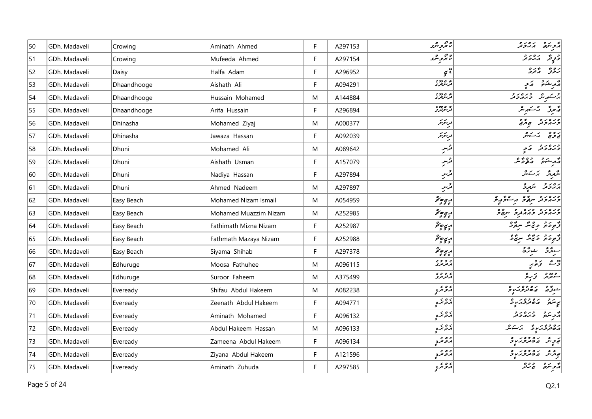| 50 | GDh. Madaveli | Crowing      | Aminath Ahmed         | F  | A297153 | موسكر مرسمة<br>  ما مرسمو مرسمة             | ה היה הסגב                                   |
|----|---------------|--------------|-----------------------|----|---------|---------------------------------------------|----------------------------------------------|
| 51 | GDh. Madaveli | Crowing      | Mufeeda Ahmed         | F. | A297154 | ء تئرء بثربد                                |                                              |
| 52 | GDh. Madaveli | Daisy        | Halfa Adam            | F. | A296952 | يم مح<br>مع مح                              | رەپ پەرە                                     |
| 53 | GDh. Madaveli | Dhaandhooge  | Aishath Ali           | F. | A094291 | یز ۵ دو ۵<br>تر سربر <sub>ک</sub>           | وكرمشتمو أوكمح                               |
| 54 | GDh. Madaveli | Dhaandhooge  | Hussain Mohamed       | M  | A144884 | یر ۵ دو <sup>ی</sup><br>ترسربر <sub>ک</sub> | جر شهر مده در در د                           |
| 55 | GDh. Madaveli | Dhaandhooge  | Arifa Hussain         | F  | A296894 | یر ۵ وو <sup>ی</sup><br>ترسربر <sub>ک</sub> | ە ئىرۇ بەسىمبە                               |
| 56 | GDh. Madaveli | Dhinasha     | Mohamed Ziyaj         | M  | A000377 | ىرىترىتر                                    | כנסנכ<br>כגונכנג ה <sub>א</sub> ונה          |
| 57 | GDh. Madaveli | Dhinasha     | Jawaza Hassan         | F  | A092039 | ورىترىتر                                    | رەپ بەسەر                                    |
| 58 | GDh. Madaveli | Dhuni        | Mohamed Ali           | M  | A089642 | اقرسه                                       | وره رو کرمي                                  |
| 59 | GDh. Madaveli | Dhuni        | Aishath Usman         | F  | A157079 | قرسر                                        | و ديگر ده ده و                               |
| 60 | GDh. Madaveli | <b>Dhuni</b> | Nadiya Hassan         | F. | A297894 | اقمہر                                       | لتربريش الكاسكانس                            |
| 61 | GDh. Madaveli | Dhuni        | Ahmed Nadeem          | M  | A297897 | اقرمبر                                      | رەرو شەرە                                    |
| 62 | GDh. Madaveli | Easy Beach   | Mohamed Nizam Ismail  | M  | A054959 | ار مي ھي<br>ا                               | ورەرو سۆۋە مەشرۇم ئو                         |
| 63 | GDh. Madaveli | Easy Beach   | Mohamed Muazzim Nizam | M  | A252985 | پر سي ص <sup>9</sup> د                      | כנסגב בגם ב תשיכ                             |
| 64 | GDh. Madaveli | Easy Beach   | Fathimath Mizna Nizam | F  | A252987 | دې په په محمد<br> -                         | قُرُوحَةً وِجْنَدُ سِنْدَوْ                  |
| 65 | GDh. Madaveli | Easy Beach   | Fathmath Mazaya Nizam | F  | A252988 | پر سي ص <sup>9</sup> د                      | توجدة ويجتز سرة و                            |
| 66 | GDh. Madaveli | Easy Beach   | Siyama Shihab         | F  | A297378 | پر سي ص <sup>9</sup> د                      | سورگر شو <i>گرھ</i><br>پ                     |
| 67 | GDh. Madaveli | Edhuruge     | Moosa Fathuhee        | M  | A096115 | ړ و و ړ<br>پر تر پر ي                       | اده مشهر در در به سیاست به این است.<br>احراب |
| 68 | GDh. Madaveli | Edhuruge     | Suroor Faheem         | M  | A375499 | ے و و ے<br>پر تعری                          | جوړو ته ته ته دې                             |
| 69 | GDh. Madaveli | Eveready     | Shifau Abdul Hakeem   | M  | A082238 | ده و د<br>  د ه مر د                        | ره وه ره<br>پره تروبر پرو<br>شوقرها          |
| 70 | GDh. Madaveli | Eveready     | Zeenath Abdul Hakeem  | F  | A094771 | ده و د<br>  د ه مر <sub>و</sub>             | ې ترو ده وه دره و.<br>په ترو مورو د ترو کر   |
| 71 | GDh. Madaveli | Eveready     | Aminath Mohamed       | F  | A096132 | ه ه ه ه<br>د ه مر د                         | و دره دره دره                                |
| 72 | GDh. Madaveli | Eveready     | Abdul Hakeem Hassan   | M  | A096133 | وه عمو                                      | رەدەر بەت كەسىر                              |
| 73 | GDh. Madaveli | Eveready     | Zameena Abdul Hakeem  | F. | A096134 | ه ه ه ه<br>مرغ مر <sub>ي</sub>              | ي په ده ده در در و                           |
| 74 | GDh. Madaveli | Eveready     | Ziyana Abdul Hakeem   | F  | A121596 | ده مړي <sub>د</sub>                         | ىبورىتىر<br>ره ده در ه<br>پره تروپر ر        |
| 75 | GDh. Madaveli | Eveready     | Aminath Zuhuda        | F  | A297585 | لتصمعي                                      | و در در در                                   |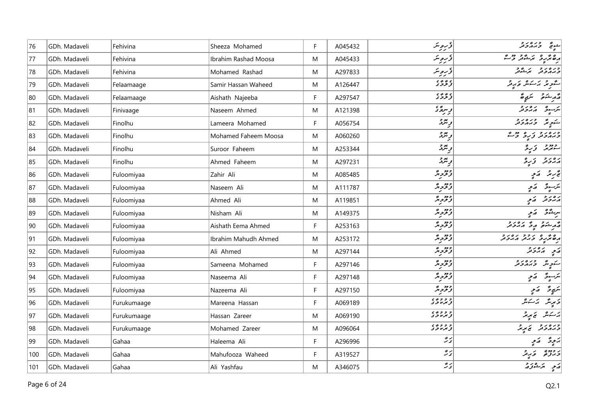| 76  | GDh. Madaveli | Fehivina    | Sheeza Mohamed       | F  | A045432 | <mark>ۇروپىر</mark>        | شویج وبره د و<br>  شویج وبرمرونتر                                                                                                                                                                                                |
|-----|---------------|-------------|----------------------|----|---------|----------------------------|----------------------------------------------------------------------------------------------------------------------------------------------------------------------------------------------------------------------------------|
| 77  | GDh. Madaveli | Fehivina    | Ibrahim Rashad Moosa | M  | A045433 | ۇروپىر                     |                                                                                                                                                                                                                                  |
| 78  | GDh. Madaveli | Fehivina    | Mohamed Rashad       | M  | A297833 | ۇروپىر                     |                                                                                                                                                                                                                                  |
| 79  | GDh. Madaveli | Felaamaage  | Samir Hassan Waheed  | M  | A126447 | ه ۶۵۵<br>و <del>و</del> ۶۶ | سەھ بر ئەسەھ كەبدىر                                                                                                                                                                                                              |
| 80  | GDh. Madaveli | Felaamaage  | Aishath Najeeba      | F  | A297547 | ء ء ء ،<br>  و یژ ی        | وأرشنتمو الكربي فأ                                                                                                                                                                                                               |
| 81  | GDh. Madaveli | Finivaage   | Naseem Ahmed         | M  | A121398 | وسرځ ځ                     | سرسوط مدرور                                                                                                                                                                                                                      |
| 82  | GDh. Madaveli | Finolhu     | Lameera Mohamed      | F  | A056754 | وبترتز                     | شور وره دو                                                                                                                                                                                                                       |
| 83  | GDh. Madaveli | Finolhu     | Mohamed Faheem Moosa | M  | A060260 | ويترتز                     | ورەرو زرو دون                                                                                                                                                                                                                    |
| 84  | GDh. Madaveli | Finolhu     | Suroor Faheem        | M  | A253344 | وبترز                      | لەدد زرە                                                                                                                                                                                                                         |
| 85  | GDh. Madaveli | Finolhu     | Ahmed Faheem         | M  | A297231 | ويترتز                     | پروژو کړلو                                                                                                                                                                                                                       |
| 86  | GDh. Madaveli | Fuloomiyaa  | Zahir Ali            | M  | A085485 | و دو پر                    | تج سرچمہ سمجھ ج                                                                                                                                                                                                                  |
| 87  | GDh. Madaveli | Fuloomiyaa  | Naseem Ali           | M  | A111787 | وددير                      | پرَ ب و<br>ەتىر                                                                                                                                                                                                                  |
| 88  | GDh. Madaveli | Fuloomiyaa  | Ahmed Ali            | M  | A119851 | د دو پژ                    | رەرد كەي                                                                                                                                                                                                                         |
| 89  | GDh. Madaveli | Fuloomiyaa  | Nisham Ali           | M  | A149375 | دود پر                     | سريقى مكو                                                                                                                                                                                                                        |
| 90  | GDh. Madaveli | Fuloomiyaa  | Aishath Eema Ahmed   | F  | A253163 | ودوير                      |                                                                                                                                                                                                                                  |
| 91  | GDh. Madaveli | Fuloomiyaa  | Ibrahim Mahudh Ahmed | M  | A253172 | ودوير                      |                                                                                                                                                                                                                                  |
| 92  | GDh. Madaveli | Fuloomiyaa  | Ali Ahmed            | M  | A297144 | وددير                      | پر په پروتر                                                                                                                                                                                                                      |
| 93  | GDh. Madaveli | Fuloomiyaa  | Sameena Mohamed      | F  | A297146 | دود پژ                     | سكوپىگ دىمەدىر                                                                                                                                                                                                                   |
| 94  | GDh. Madaveli | Fuloomiyaa  | Naseema Ali          | F. | A297148 | وددير                      | لترسوق الأمج                                                                                                                                                                                                                     |
| 95  | GDh. Madaveli | Fuloomiyaa  | Nazeema Ali          | F  | A297150 | و دو پر                    | شيء قريد<br>شيء قريد<br>فرسيس برسيس                                                                                                                                                                                              |
| 96  | GDh. Madaveli | Furukumaage | Mareena Hassan       | F  | A069189 | و و و و ء<br>  تو تر رو د  |                                                                                                                                                                                                                                  |
| 97  | GDh. Madaveli | Furukumaage | Hassan Zareer        | M  | A069190 | د د د د »<br>ز بر ر د د    | برستور تجميعه                                                                                                                                                                                                                    |
| 98  | GDh. Madaveli | Furukumaage | Mohamed Zareer       | M  | A096064 | د د د د ،<br>تو بر ر د د   | כנסני התב                                                                                                                                                                                                                        |
| 99  | GDh. Madaveli | Gahaa       | Haleema Ali          | F. | A296996 | ىرچ                        | ر په دې کار کې د کار کې د کار کې د کار کې د کار د کار کې د کار کې د کار کې د کار کړې کې د کار کړې کار د کار کړ<br>مواد کې د کار کې د کار کړې کې د کار کړې کې د کار کړې کې د کار کړې کې په کار کړې کې د کار کړې کې د کار کړې کې د |
| 100 | GDh. Madaveli | Gahaa       | Mahufooza Waheed     | F  | A319527 | ىرچ                        | ر دود ته گردگر<br>د برودنی گریدگر                                                                                                                                                                                                |
| 101 | GDh. Madaveli | Gahaa       | Ali Yashfau          | M  | A346075 | ىرچ                        | أقدموا المرتشوقران                                                                                                                                                                                                               |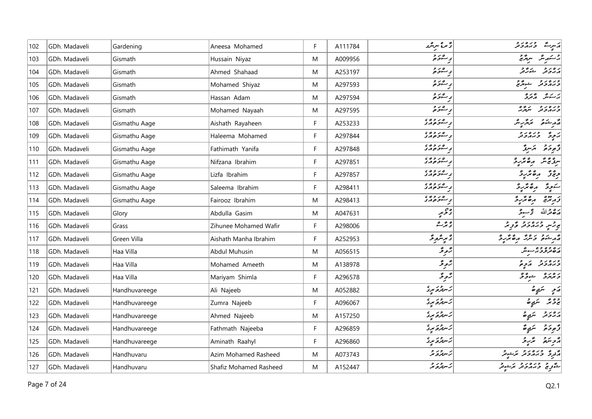| 102 | GDh. Madaveli | Gardening     | Aneesa Mohamed         | F           | A111784 | ۇ برق <sub>ى</sub> رىتى <sub>م</sub> | و ره ر د<br>تر پر پر تر<br> رئىبەشە            |
|-----|---------------|---------------|------------------------|-------------|---------|--------------------------------------|------------------------------------------------|
| 103 | GDh. Madaveli | Gismath       | Hussain Niyaz          | M           | A009956 | ى سەرىر                              | 2 سەر شەر سەرتىقى<br>مەسىر                     |
| 104 | GDh. Madaveli | Gismath       | Ahmed Shahaad          | M           | A253197 | ى سەرىر                              | رەر دىرور                                      |
| 105 | GDh. Madaveli | Gismath       | Mohamed Shiyaz         | M           | A297593 | ى سەپر ۋ                             | و ر ه ر و<br>تر پر تر تر<br>شەدگرىم            |
| 106 | GDh. Madaveli | Gismath       | Hassan Adam            | M           | A297594 | لو مشر <i>د و</i>                    |                                                |
| 107 | GDh. Madaveli | Gismath       | Mohamed Nayaah         | M           | A297595 | ى سەپر ۋ                             | כנסנכ נפס                                      |
| 108 | GDh. Madaveli | Gismathu Aage | Aishath Rayaheen       | F           | A253233 | ه د د ده و<br>د سود و د د            | أقهر مشكوته التمرير تبريد                      |
| 109 | GDh. Madaveli | Gismathu Aage | Haleema Mohamed        | $\mathsf F$ | A297844 | ه ر د و و و<br>د سود و د د           | و رە ر د<br>تر پر تر تر<br>  پر پوځ            |
| 110 | GDh. Madaveli | Gismathu Aage | Fathimath Yanifa       | F           | A297848 | ه د د ده و<br>د سود و د د            | توافق المستقل                                  |
| 111 | GDh. Madaveli | Gismathu Aage | Nifzana Ibrahim        | F           | A297851 | ه د د ده و<br>د سود و د د            | سرۇ ئەنگە<br>برە ئۆرۈ                          |
| 112 | GDh. Madaveli | Gismathu Aage | Lizfa Ibrahim          | F           | A297857 | ه د د و و و<br>د ستوڅونړۍ            | حرِيح وَ<br>ەھ تررى                            |
| 113 | GDh. Madaveli | Gismathu Aage | Saleema Ibrahim        | F           | A298411 | لى مەزدە تە                          | رە ئۈرۈ<br>سەرچ                                |
| 114 | GDh. Madaveli | Gismathu Aage | Fairooz Ibrahim        | M           | A298413 | ای حدودی<br>بر صوفهوری               | ەھ ترىرو<br>ۇ مەيرى                            |
| 115 | GDh. Madaveli | Glory         | Abdulla Gasim          | M           | A047631 | ە مىمىيە                             | مَدْهُ قَدْ اللّه تَوْسُورْ                    |
| 116 | GDh. Madaveli | Grass         | Zihunee Mohamed Wafir  | F           | A298006 | ە بۇ مە                              | ورمير وبرودو وتوبر                             |
| 117 | GDh. Madaveli | Green Villa   | Aishath Manha Ibrahim  | F           | A252953 | ە بېرىئر <sub>ى</sub> ر ئە           |                                                |
| 118 | GDh. Madaveli | Haa Villa     | <b>Abdul Muhusin</b>   | M           | A056515 | رٌّہ ِ تَرُ                          | ره وه وه مسره<br>مان فرنز د بر مسر             |
| 119 | GDh. Madaveli | Haa Villa     | Mohamed Ameeth         | M           | A138978 | رٌّہ ِ تَرُ                          | כנסנכ גבי                                      |
| 120 | GDh. Madaveli | Haa Villa     | Mariyam Shimla         | F           | A296578 | رَّحْرِ بَحَر                        | خەۋگە<br>ر ه بر ه<br><del>ر</del> بربرگر       |
| 121 | GDh. Madaveli | Handhuvareege | Ali Najeeb             | M           | A052882 | ئەسە <i>تى ئى</i> رى                 | ار د سر <sub>ي</sub> ه<br>مسيح                 |
| 122 | GDh. Madaveli | Handhuvareege | Zumra Najeeb           | F           | A096067 | ر سرچر <sub>محر</sub> ي              | وه پژه کرده و                                  |
| 123 | GDh. Madaveli | Handhuvareege | Ahmed Najeeb           | M           | A157250 | ر سرچرې پر <sup>ج</sup>              | بروتر تر<br>سونج ت                             |
| 124 | GDh. Madaveli | Handhuvareege | Fathmath Najeeba       | F           | A296859 | ر سرچر <sub>محر</sub> ي              | توجوجو سكبي                                    |
| 125 | GDh. Madaveli | Handhuvareege | Aminath Raahyl         | F           | A296860 | ئەس <i>ەۋە بېر</i> د                 | أأروبتهم الأربر                                |
| 126 | GDh. Madaveli | Handhuvaru    | Azim Mohamed Rasheed   | M           | A073743 | ر سرچر تر                            | و در دره در مردود کرد.<br>در در در در در مردود |
| 127 | GDh. Madaveli | Handhuvaru    | Shafiz Mohamed Rasheed | M           | A152447 | ر<br>رسرپور کر                       | .<br>مگر و در دو در مر <sub>شو</sub> د         |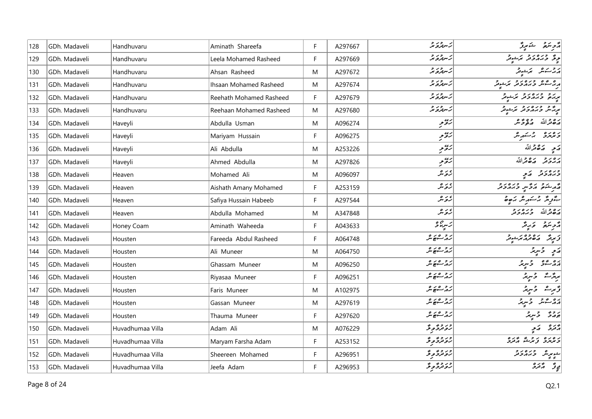| 128 | GDh. Madaveli | Handhuvaru       | Aminath Shareefa        | F         | A297667 | ر سرچ ر ح<br>ر سرچر <i>ي پ</i> ر                     | و سمي شورون<br>مرد سمي                                                                                                                                                                                                          |
|-----|---------------|------------------|-------------------------|-----------|---------|------------------------------------------------------|---------------------------------------------------------------------------------------------------------------------------------------------------------------------------------------------------------------------------------|
| 129 | GDh. Madaveli | Handhuvaru       | Leela Mohamed Rasheed   | F         | A297669 | ر<br>تەس <i>بىرى تى</i> ر                            | ر دره دو برخور کمی در در این در این کلیده در این کلیده در این کلیده در این کلیده در این کلیده در این کلیده در<br>این کلیده در این کلیده در این کلیده در این کلیده در این کلیده در این کلیده در این کلیده در این کلیده در این کل |
| 130 | GDh. Madaveli | Handhuvaru       | Ahsan Rasheed           | M         | A297672 | ر سرچ ر حر<br>تر سرچر <i>ج</i> ر                     | روبر<br>أ <i>ورد شكر مركبو</i> تر                                                                                                                                                                                               |
| 131 | GDh. Madaveli | Handhuvaru       | Ihsaan Mohamed Rasheed  | M         | A297674 | ر سرچ ر حر<br>تر سرچر <i>ج</i> ر                     |                                                                                                                                                                                                                                 |
| 132 | GDh. Madaveli | Handhuvaru       | Reehath Mohamed Rasheed | F         | A297679 | ر سرچ ر ح<br>ر سرچر <i>ي پ</i> ر                     |                                                                                                                                                                                                                                 |
| 133 | GDh. Madaveli | Handhuvaru       | Reehaan Mohamed Rasheed | M         | A297680 | ر<br>تەس <i>بىرى بى</i> ر                            | بريد وبرورو برجوتر                                                                                                                                                                                                              |
| 134 | GDh. Madaveli | Haveyli          | Abdulla Usman           | ${\sf M}$ | A096274 | ريمو                                                 | مەھىراللە مەم م                                                                                                                                                                                                                 |
| 135 | GDh. Madaveli | Haveyli          | Mariyam Hussain         | F         | A096275 | رەيە<br>سۇم                                          | دەرە جىمدىگ                                                                                                                                                                                                                     |
| 136 | GDh. Madaveli | Haveyli          | Ali Abdulla             | ${\sf M}$ | A253226 | ريىپىر                                               | أقسم قدمة وقرالله                                                                                                                                                                                                               |
| 137 | GDh. Madaveli | Haveyli          | Ahmed Abdulla           | M         | A297826 | رەمجە                                                | أرور وكامرالله                                                                                                                                                                                                                  |
| 138 | GDh. Madaveli | Heaven           | Mohamed Ali             | M         | A096097 | ى رە<br>رەپىر                                        | ورەرو كې                                                                                                                                                                                                                        |
| 139 | GDh. Madaveli | Heaven           | Aishath Amany Mohamed   | F         | A253159 | ى رە<br>رەپىر                                        | הת בים גלית כגבבת                                                                                                                                                                                                               |
| 140 | GDh. Madaveli | Heaven           | Safiya Hussain Habeeb   | F         | A297544 | ى رە<br>رەپىر                                        | بأورثه برخير شركوه                                                                                                                                                                                                              |
| 141 | GDh. Madaveli | Heaven           | Abdulla Mohamed         | M         | A347848 | ى رە<br>رەكىر                                        | رەۋاللە دىرەرد                                                                                                                                                                                                                  |
| 142 | GDh. Madaveli | Honey Coam       | Aminath Waheeda         | F         | A043633 | ئەبىر ئەم                                            | أأروبتهم وكبيتر                                                                                                                                                                                                                 |
| 143 | GDh. Madaveli | Housten          | Fareeda Abdul Rasheed   | F         | A064748 | ر د مره په ه<br>ر <sub>ا</sub> ز سر <sub>ت</sub> ق س | ر<br>دېږمر گەھەركە ئەشەر                                                                                                                                                                                                        |
| 144 | GDh. Madaveli | Housten          | Ali Muneer              | M         | A064750 | ر د مره عر                                           | أرشح والمعيار                                                                                                                                                                                                                   |
| 145 | GDh. Madaveli | Housten          | Ghassam Muneer          | M         | A096250 | ىر 3 مەھ بىر<br>مە <b>ر</b> سىز <mark>ق</mark> ىلىر  | ره وه و پر                                                                                                                                                                                                                      |
| 146 | GDh. Madaveli | Housten          | Riyasaa Muneer          | F         | A096251 | ىر <i>جە</i> م ھەيھ                                  | بروثر مشر<br>د سرپر<br>پ                                                                                                                                                                                                        |
| 147 | GDh. Madaveli | Housten          | Faris Muneer            | M         | A102975 | ر د مره په ه<br>ر <sub>ا</sub> ز سر <sub>ت</sub> ق س | ۇ بر ئى ئە ئە                                                                                                                                                                                                                   |
| 148 | GDh. Madaveli | Housten          | Gassan Muneer           | ${\sf M}$ | A297619 | ىر <i>جە</i> ھ چىر                                   | أزواعيوا وسرو                                                                                                                                                                                                                   |
| 149 | GDh. Madaveli | Housten          | Thauma Muneer           | F         | A297620 | ر د مره عر                                           | أبروي وسرير                                                                                                                                                                                                                     |
| 150 | GDh. Madaveli | Huvadhumaa Villa | Adam Ali                | ${\sf M}$ | A076229 | ور و و په<br>ر <sub>نگو</sub> ترو <sub>و ن</sub> و   | أزندو أياسي                                                                                                                                                                                                                     |
| 151 | GDh. Madaveli | Huvadhumaa Villa | Maryam Farsha Adam      | F         | A253152 | ور و د پخ<br>روندگ <sup>5</sup> و تخ                 | رەرە روپە پەرە                                                                                                                                                                                                                  |
| 152 | GDh. Madaveli | Huvadhumaa Villa | Sheereen Mohamed        | F         | A296951 | 2 <sub>2</sub> تروگو بخر                             | و رە ر د<br>تر پر تر تر<br>  ڪوبورنگر<br>  ڪڪ                                                                                                                                                                                   |
| 153 | GDh. Madaveli | Huvadhumaa Villa | Jeefa Adam              | F         | A296953 | 2 <sub>2</sub> ترگ <sup>2</sup> تو گ                 | ي تخرج محمدة المحمدة المحمدة المحمدة المحمدة المحمدة المحمدة المحمدة المحمدة المحمدة المحمدة المحمدة المحمدة ا                                                                                                                  |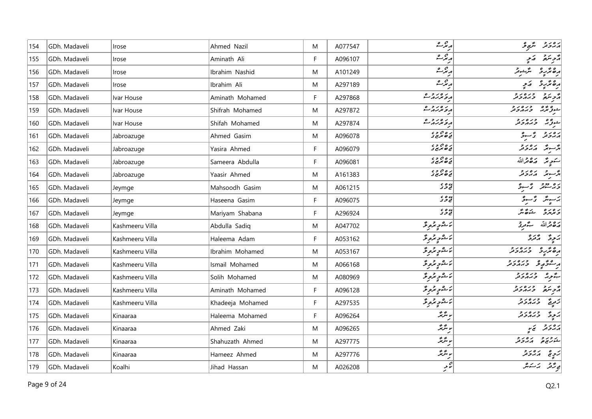| 154 | GDh. Madaveli | Irose           | Ahmed Nazil      | M           | A077547 | وبخرشه                                        | سَّرى شَر<br>بروئر قر                                  |
|-----|---------------|-----------------|------------------|-------------|---------|-----------------------------------------------|--------------------------------------------------------|
| 155 | GDh. Madaveli | Irose           | Aminath Ali      | F           | A096107 | مرتزعه                                        | أثرحه مئرة                                             |
| 156 | GDh. Madaveli | Irose           | Ibrahim Nashid   | M           | A101249 | مربحره                                        | دەنزېږ<br>مگرشونر<br>ر                                 |
| 157 | GDh. Madaveli | Irose           | Ibrahim Ali      | M           | A297189 | مرتئز ث                                       | ە ھەترىرى<br>برھەترىرى                                 |
| 158 | GDh. Madaveli | Ivar House      | Aminath Mohamed  | F           | A297868 | ارەردە                                        | و ره ر و<br><i>و پر</i> و تر<br>أأترسم                 |
| 159 | GDh. Madaveli | Ivar House      | Shifrah Mohamed  | M           | A297872 | ب <i>ر ء بر د</i> م                           | <sub>شو</sub> و ترر<br>و رە ر د<br><i>د بە</i> پەر     |
| 160 | GDh. Madaveli | Ivar House      | Shifah Mohamed   | M           | A297874 | ىر <i>ئەرىر م</i>                             | شوتر <sup>0</sup> ر<br>و رە ر د<br>تر پروتر            |
| 161 | GDh. Madaveli | Jabroazuge      | Ahmed Gasim      | M           | A096078 |                                               | رەرد ئەسەۋ                                             |
| 162 | GDh. Madaveli | Jabroazuge      | Yasira Ahmed     | $\mathsf F$ | A096079 | ر ه 0 و ء<br>قع ن مربع و                      | ەر بەسە ئە<br>ەر ئەر تە                                |
| 163 | GDh. Madaveli | Jabroazuge      | Sameera Abdulla  | F.          | A096081 | ر ه 0 و ء<br>قع ځ پنو ي                       | سَمَّحٍ <i>مَدَّ مَدَّة مَدَّ</i> اللَّهُ              |
| 164 | GDh. Madaveli | Jabroazuge      | Yaasir Ahmed     | M           | A161383 |                                               | و ده ده ده د و                                         |
| 165 | GDh. Madaveli | Jeymge          | Mahsoodh Gasim   | M           | A061215 | ے ہ ج<br>تع بر ت                              | ره دود په ده                                           |
| 166 | GDh. Madaveli | Jeymge          | Haseena Gasim    | F           | A096075 | ړے و بح<br>فع تر <sub>م</sub> ح               | گەسىسى بىر<br>ئەسەمىگە<br>ئە                           |
| 167 | GDh. Madaveli | Jeymge          | Mariyam Shabana  | F           | A296924 | ړے و بح<br>فع تر <sub>م</sub> ح               | ر ه ر ه<br><del>و</del> بربرو<br>شەھ ئىر               |
| 168 | GDh. Madaveli | Kashmeeru Villa | Abdulla Sadiq    | M           | A047702 | ئەيش <sub>ى</sub> چە <i>پر<sub>ى</sub>م</i> ۇ | رەت <sub>د</sub> اللە ج <sup>ە</sup> مرىز              |
| 169 | GDh. Madaveli | Kashmeeru Villa | Haleema Adam     | F           | A053162 | ئەش <sub>ى</sub> پە پر <sub>ىم</sub> رگە      | ر د دره<br>روز مدرد                                    |
| 170 | GDh. Madaveli | Kashmeeru Villa | Ibrahim Mohamed  | Μ           | A053167 | ئەش <sub>ى</sub> ر پر <sub>ى</sub> ر ئە       | תפתקיב בג'וניב                                         |
| 171 | GDh. Madaveli | Kashmeeru Villa | Ismail Mohamed   | M           | A066168 | ئەشقىر ترەپچە                                 | و عرّور و دور د                                        |
| 172 | GDh. Madaveli | Kashmeeru Villa | Solih Mohamed    | M           | A080969 | ئەش <sub>ى</sub> ر چر <sub>ىر</sub> ئۇ        | و رە ر د<br>تر پروتر<br>بەً پر پر                      |
| 173 | GDh. Madaveli | Kashmeeru Villa | Aminath Mohamed  | F           | A096128 | ئەش <sub>ى</sub> ر چەرىخە                     | و رە ر د<br>تر پر پر تر<br>أأرمره                      |
| 174 | GDh. Madaveli | Kashmeeru Villa | Khadeeja Mohamed | F           | A297535 | ئە <u>ش</u> وپر <sub>ى</sub> رۇ               | و ره ر د<br><i>د ب</i> رگرفر<br>زَمدِيَّ<br>مُستَعَمِّ |
| 175 | GDh. Madaveli | Kinaaraa        | Haleema Mohamed  | F           | A096264 | ىدىنىڭە                                       | أتزمزة<br>و ره ر د<br>تر پر ژنر                        |
| 176 | GDh. Madaveli | Kinaaraa        | Ahmed Zaki       | M           | A096265 | ر متریخه                                      | رەرد ئ                                                 |
| 177 | GDh. Madaveli | Kinaaraa        | Shahuzath Ahmed  | M           | A297775 | بریٹرنگر                                      | شرور و بره رو<br>شوریم هم آبرای کرد                    |
| 178 | GDh. Madaveli | Kinaaraa        | Hameez Ahmed     | M           | A297776 | برېترنېژ                                      | رَ <sub>ح</sub> ِ پم کرد و                             |
| 179 | GDh. Madaveli | Koalhi          | Jihad Hassan     | Μ           | A026208 | م<br>مومو                                     | ە ئەسىر ئەسكەنلەر                                      |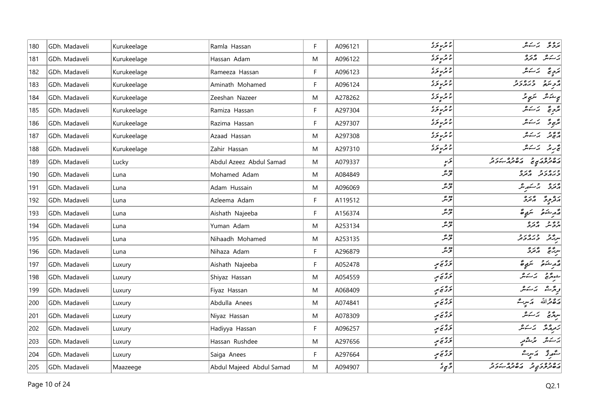| 180 | GDh. Madaveli | Kurukeelage | Ramla Hassan             | F           | A096121 | د د بر ،<br>مورپوځ            | ىرە ئەسەر                                              |
|-----|---------------|-------------|--------------------------|-------------|---------|-------------------------------|--------------------------------------------------------|
| 181 | GDh. Madaveli | Kurukeelage | Hassan Adam              | M           | A096122 | د د<br>پاندې <sub>و</sub> بود | ىز سەيى <sub>گە</sub><br>پور ہ<br>مرکز                 |
| 182 | GDh. Madaveli | Kurukeelage | Rameeza Hassan           | F           | A096123 | د د بر ،<br>مورپوځ            | يَرَدٍ بِجَ = بَرَسَة مَرْ                             |
| 183 | GDh. Madaveli | Kurukeelage | Aminath Mohamed          | F.          | A096124 | لابر بديدي                    | و ره ر د<br>رنگرونر<br>أرمز تره                        |
| 184 | GDh. Madaveli | Kurukeelage | Zeeshan Nazeer           | M           | A278262 | د د بر ،<br>مور برد           | پېرىشكى سىرىپى                                         |
| 185 | GDh. Madaveli | Kurukeelage | Ramiza Hassan            | $\mathsf F$ | A297304 | د د<br>پاندې <sub>و</sub> مرد | بۇرىخ بەسكىل                                           |
| 186 | GDh. Madaveli | Kurukeelage | Razima Hassan            | F           | A297307 | د د به بر ،<br>ما تر بې مرد   | ىمىي ئەسەھ                                             |
| 187 | GDh. Madaveli | Kurukeelage | Azaad Hassan             | M           | A297308 | د د برري<br>پانگرېونو         | ە ئەقر بەسكەنلە                                        |
| 188 | GDh. Madaveli | Kurukeelage | Zahir Hassan             | M           | A297310 | د د بر ،<br>ما تر بو د د      | چەر ئەسكەنلەر                                          |
| 189 | GDh. Madaveli | Lucky       | Abdul Azeez Abdul Samad  | M           | A079337 | ځوسي                          | נס כסנים נס כס נגד                                     |
| 190 | GDh. Madaveli | Luna        | Mohamed Adam             | M           | A084849 | ترشر                          | ورەر د درە<br><i>دىد</i> ەرىر مەر <i>و</i>             |
| 191 | GDh. Madaveli | Luna        | Adam Hussain             | M           | A096069 | حزمتر                         | أرمزه برستهر مر                                        |
| 192 | GDh. Madaveli | Luna        | Azleema Adam             | F           | A119512 | چونئر                         | ەرگەر<br>بر و عريجة<br>مرتوج                           |
| 193 | GDh. Madaveli | Luna        | Aishath Najeeba          | F           | A156374 | تزيتر                         | أمار مشام في المسترج كانتشر                            |
| 194 | GDh. Madaveli | Luna        | Yuman Adam               | M           | A253134 | چونئر                         | د د د پره                                              |
| 195 | GDh. Madaveli | Luna        | Nihaadh Mohamed          | M           | A253135 | ترىتر                         | و رە ر د<br><i>د بە</i> گەر<br>سررٌ تر                 |
| 196 | GDh. Madaveli | Luna        | Nihaza Adam              | F           | A296879 | تزيتر                         | البرجيح<br>ەرگەر                                       |
| 197 | GDh. Madaveli | Luxury      | Aishath Najeeba          | F.          | A052478 | تره تر مر<br>مور مئ مر        | وأمر شدة سكفي فأ                                       |
| 198 | GDh. Madaveli | Luxury      | Shiyaz Hassan            | M           | A054559 | رە ر<br>مۇي ئىم               | الشواريخ الكاسكون                                      |
| 199 | GDh. Madaveli | Luxury      | Fiyaz Hassan             | M           | A068409 | <br> نزدې مړ                  | پر پڙ - پر سکيلر                                       |
| 200 | GDh. Madaveli | Luxury      | Abdulla Anees            | M           | A074841 | ر ە ر<br>مۇي ئىم              | أرجح فرالله كرسيء                                      |
| 201 | GDh. Madaveli | Luxury      | Niyaz Hassan             | M           | A078309 | تره تر سر<br>مرد سی           | سرچ بر کامل                                            |
| 202 | GDh. Madaveli | Luxury      | Hadiyya Hassan           | F           | A096257 | ره ر<br>محری مړ               | ترور بر بر سور مر                                      |
| 203 | GDh. Madaveli | Luxury      | Hassan Rushdee           | M           | A297656 | تره نرمړ                      | برسكس برشور                                            |
| 204 | GDh. Madaveli | Luxury      | Saiga Anees              | F           | A297664 | ر ە ر<br>مۇي ئىم              | ستمرق كالمرس                                           |
| 205 | GDh. Madaveli | Maazeege    | Abdul Majeed Abdul Samad | M           | A094907 | ۇ مېمى<br>مەمب <sub>ى</sub>   | ر ۵۶۵ د ح د ۵۶۵ در د<br>ג ه تر تر د تر تر پر شور تر تر |
|     |               |             |                          |             |         |                               |                                                        |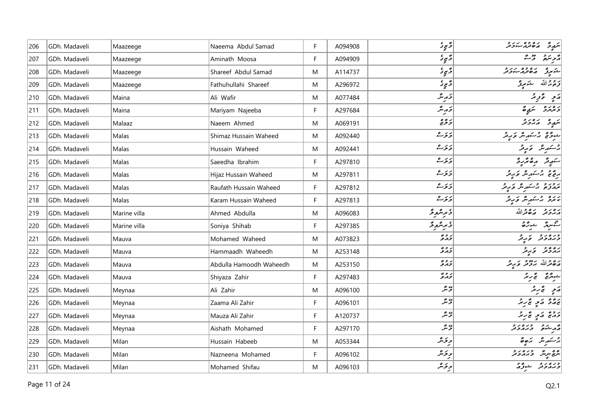| 206 | GDh. Madaveli | Maazeege     | Naeema Abdul Samad      | F. | A094908 | <br>د سمج د                        | شمير مەھىرمە بەر د                                                 |
|-----|---------------|--------------|-------------------------|----|---------|------------------------------------|--------------------------------------------------------------------|
| 207 | GDh. Madaveli | Maazeege     | Aminath Moosa           | F. | A094909 | و سمج د<br>مرسم د                  | و مشر<br>أرمز                                                      |
| 208 | GDh. Madaveli | Maazeege     | Shareef Abdul Samad     | M  | A114737 | $\frac{c}{2}$ وند                  | ر ٥ ٥ ٥ ٠ ر ر و<br>پره تر پر سور تر<br>ے موثر<br>ـــو موثر         |
| 209 | GDh. Madaveli | Maazeege     | Fathuhullahi Shareef    | M  | A296972 | <br>د سمج د                        | ترح جرالله مشميرو                                                  |
| 210 | GDh. Madaveli | Maina        | Ali Wafir               | M  | A077484 | خەرىتىر                            | ە ئۇرگە                                                            |
| 211 | GDh. Madaveli | Maina        | Mariyam Najeeba         | F  | A297684 | ځه پتر                             | رەرە شەھ                                                           |
| 212 | GDh. Madaveli | Malaaz       | Naeem Ahmed             | M  | A069191 | ر پوه                              | سمدة مددومر                                                        |
| 213 | GDh. Madaveli | Malas        | Shimaz Hussain Waheed   | M  | A092440 | ىز ئە                              | خرچ چې شهر مريد                                                    |
| 214 | GDh. Madaveli | Malas        | Hussain Waheed          | M  | A092441 | ىزىمى                              | ايز ستهر شهر استمر تر منظر<br>المراسكي من السياسي                  |
| 215 | GDh. Madaveli | Malas        | Saeedha Ibrahim         | F. | A297810 | ىز ئەر                             | أسكر مقدرة                                                         |
| 216 | GDh. Madaveli | Malas        | Hijaz Hussain Waheed    | M  | A297811 | ىز ئە                              | بروج بر شور شر و بر قر                                             |
| 217 | GDh. Madaveli | Malas        | Raufath Hussain Waheed  | F. | A297812 | ئەئەرىشە                           | برورو وسكرهر وبرو                                                  |
| 218 | GDh. Madaveli | Malas        | Karam Hussain Waheed    | F  | A297813 | ىزىمى                              | أنائرو الرسكور مكارير                                              |
| 219 | GDh. Madaveli | Marine villa | Ahmed Abdulla           | M  | A096083 | ۇبرىئرو ۋ                          | بره برح بره درالله                                                 |
| 220 | GDh. Madaveli | Marine villa | Soniya Shihab           | F  | A297385 | ؤ <sub>مر</sub> مر <sub>م</sub> وڈ | سکس شر شورهٔ م                                                     |
| 221 | GDh. Madaveli | Mauva        | Mohamed Waheed          | M  | A073823 | تزديح                              | ورەر دىر د                                                         |
| 222 | GDh. Madaveli | Mauva        | Hammaadh Waheedh        | M  | A253148 | ر و پر<br>ود و                     | پروژو کریگر                                                        |
| 223 | GDh. Madaveli | Mauva        | Abdulla Hamoodh Waheedh | M  | A253150 | ر د ه                              | م معرالله بردود كربرد                                              |
| 224 | GDh. Madaveli | Mauva        | Shiyaza Zahir           | F. | A297483 | ر د ه                              | هو پر چم محمد سر چمر سر                                            |
| 225 | GDh. Madaveli | Meynaa       | Ali Zahir               | M  | A096100 | پی مثر                             | ويمي بحريمه                                                        |
| 226 | GDh. Madaveli | Meynaa       | Zaama Ali Zahir         | F  | A096101 | يى ئىر                             |                                                                    |
| 227 | GDh. Madaveli | Meynaa       | Mauza Ali Zahir         | F  | A120737 | تزىتر                              | أورقيح أوالمح المجاريم                                             |
| 228 | GDh. Madaveli | Meynaa       | Aishath Mohamed         | F  | A297170 | يى ش                               | وكرمشتمو وبره برو                                                  |
| 229 | GDh. Madaveli | Milan        | Hussain Habeeb          | M  | A053344 | و ئۇىئر                            | بر کرمر شرکت کرده                                                  |
| 230 | GDh. Madaveli | Milan        | Nazneena Mohamed        | F  | A096102 | ادبخقه                             | ر ور ور ور ور ور و<br>سرچ س <sub>ر</sub> ینگر او <i>پر پر و</i> تر |
| 231 | GDh. Madaveli | Milan        | Mohamed Shifau          | M  | A096103 | جرځېګر                             | ورەر د بەد<br><i>دىدە</i> دىر شى <i>ۋە</i>                         |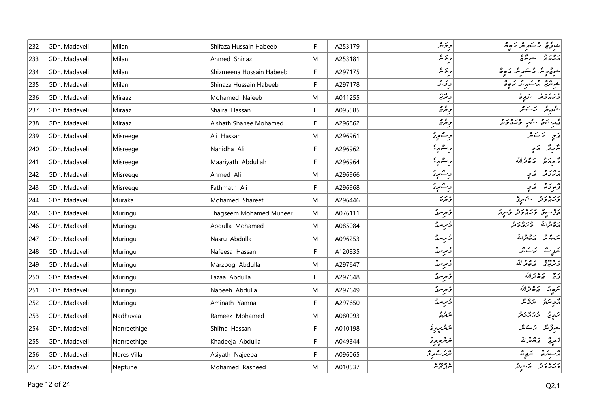| 232 | GDh. Madaveli | Milan       | Shifaza Hussain Habeeb   | F         | A253179 | و ئۇىتر                 | شوژنج بر کشمر شرکته ه             |
|-----|---------------|-------------|--------------------------|-----------|---------|-------------------------|-----------------------------------|
| 233 | GDh. Madaveli | Milan       | Ahmed Shinaz             | M         | A253181 | حرىخەشر                 | أرور ويدعى                        |
| 234 | GDh. Madaveli | Milan       | Shizmeena Hussain Habeeb | F         | A297175 | ادِ بخشر                | مشوهم جانگر بر کشور می بر کاره ها |
| 235 | GDh. Madaveli | Milan       | Shinaza Hussain Habeeb   | F         | A297178 | حرىخەشر                 |                                   |
| 236 | GDh. Madaveli | Miraaz      | Mohamed Najeeb           | ${\sf M}$ | A011255 | حربترج                  | ورەرو كري <sub>ج</sub> ج          |
| 237 | GDh. Madaveli | Miraaz      | Shaira Hassan            | F         | A095585 | حريمهم                  | شَرْمِهْ يَرْسَمْر                |
| 238 | GDh. Madaveli | Miraaz      | Aishath Shahee Mohamed   | F         | A296862 | حريميمح                 | أثهر شوكم المستحد والمردور        |
| 239 | GDh. Madaveli | Misreege    | Ali Hassan               | M         | A296961 | ىر تەممە ئى<br>س        | أوسم بركتهم                       |
| 240 | GDh. Madaveli | Misreege    | Nahidha Ali              | F         | A296962 | ىر شەيبرى<br>س          | شريق الأمي                        |
| 241 | GDh. Madaveli | Misreege    | Maariyath Abdullah       | F         | A296964 | ورشموی                  | تحسيره رومرالله                   |
| 242 | GDh. Madaveli | Misreege    | Ahmed Ali                | M         | A296966 | ىر مەيدى<br>س           | أرور و كم ي                       |
| 243 | GDh. Madaveli | Misreege    | Fathmath Ali             | F         | A296968 | ىر شەيب <sub>ە</sub> ئ  | و و د و د                         |
| 244 | GDh. Madaveli | Muraka      | Mohamed Shareef          | ${\sf M}$ | A296446 | ويرز                    | ورەرو شەرو                        |
| 245 | GDh. Madaveli | Muringu     | Thagseem Mohamed Muneer  | M         | A076111 | وبرسر                   | נם כי כנסנד ביתא                  |
| 246 | GDh. Madaveli | Muringu     | Abdulla Mohamed          | M         | A085084 | وحمرسر                  | رە دالله درەرد                    |
| 247 | GDh. Madaveli | Muringu     | Nasru Abdulla            | ${\sf M}$ | A096253 | ومرسر                   | سَرَجْعَة صَدْهَة اللّه           |
| 248 | GDh. Madaveli | Muringu     | Nafeesa Hassan           | F         | A120835 | 3 موسرچ                 | سَمِي سَنْ سَرَسَةَ سَرْ          |
| 249 | GDh. Madaveli | Muringu     | Marzoog Abdulla          | M         | A297647 | 3 برسرم                 | ر دود ده در الله                  |
| 250 | GDh. Madaveli | Muringu     | Fazaa Abdulla            | F         | A297648 | وتمرسر                  | ترتج مكافقه الله                  |
| 251 | GDh. Madaveli | Muringu     | Nabeeh Abdulla           | M         | A297649 | 3 مرسر 2                | ەھىراللە<br>سكبي جم               |
| 252 | GDh. Madaveli | Muringu     | Aminath Yamna            | F         | A297650 | ومرسو                   | أأدجن أأدوا                       |
| 253 | GDh. Madaveli | Nadhuvaa    | Rameez Mohamed           | M         | A080093 | ر و ر<br>سربروگ         |                                   |
| 254 | GDh. Madaveli | Nanreethige | Shifna Hassan            | F         | A010198 | ىئەمىر<br>مىزىنزىر      | جوونگر ایر کانگر                  |
| 255 | GDh. Madaveli | Nanreethige | Khadeeja Abdulla         | F         | A049344 | ىئەمىر<br>مىرىئىرمو ئ   | تزميدة كالهجم الله                |
| 256 | GDh. Madaveli | Nares Villa | Asiyath Najeeba          | F         | A096065 | شریر شورمح              | أأرسته أترام وأنفر وأنس           |
| 257 | GDh. Madaveli | Neptune     | Mohamed Rasheed          | M         | A010537 | ي و دو و.<br>سربر ګو سر | ورەرو كەشپەر                      |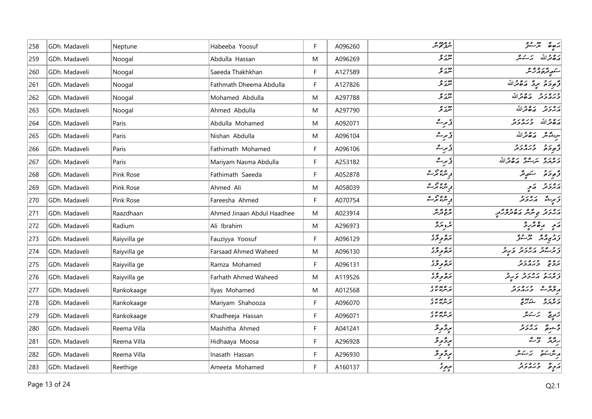| 258 | GDh. Madaveli | Neptune          | Habeeba Yoosuf              | F  | A096260 | ، ە دوم<br>سربى كىمى                 | $\begin{pmatrix} 0 & 2 & 2 \\ 2 & -2 & 2 \\ 3 & 3 & 6 \end{pmatrix}$ |
|-----|---------------|------------------|-----------------------------|----|---------|--------------------------------------|----------------------------------------------------------------------|
| 259 | GDh. Madaveli | Noogal           | Abdulla Hassan              | M  | A096269 | دور ہ<br>سری م                       | مَدْهُ قَدْاللّه بَرْسَوْرٌ                                          |
| 260 | GDh. Madaveli | Noogal           | Saeeda Thakhkhan            | F. | A127589 | ددر ه<br>سرند څر                     | <i>ے پر قرم دی</i> شر                                                |
| 261 | GDh. Madaveli | Noogal           | Fathmath Dheema Abdulla     | F. | A127826 | ددر ه<br>سره مر                      | قَرْجِرْحَمْ مَرِجٌ صَهْرَاللّهَ                                     |
| 262 | GDh. Madaveli | Noogal           | Mohamed Abdulla             | M  | A297788 | دور ہ<br>سربر ش                      | وره رو ده دالله                                                      |
| 263 | GDh. Madaveli | Noogal           | Ahmed Abdulla               | M  | A297790 | دور ہ<br>سری محر                     | برورد بره دالله                                                      |
| 264 | GDh. Madaveli | Paris            | Abdulla Mohamed             | M  | A092071 | ۇ بر م                               | برە تراللە<br>و ره ر و<br>تر پروتر                                   |
| 265 | GDh. Madaveli | Paris            | Nishan Abdulla              | M  | A096104 | ۇ بر م                               | سريئر كرة قرالله                                                     |
| 266 | GDh. Madaveli | Paris            | Fathimath Mohamed           | F  | A096106 | ۇ بىر مە                             | و ده دره دره                                                         |
| 267 | GDh. Madaveli | Paris            | Mariyam Nasma Abdulla       | F. | A253182 | وسمريثه                              | رەرە بروء رەزالله                                                    |
| 268 | GDh. Madaveli | Pink Rose        | Fathimath Saeeda            | F. | A052878 | وپېژو شه                             | قرجوخا فمستم يتقر                                                    |
| 269 | GDh. Madaveli | <b>Pink Rose</b> | Ahmed Ali                   | M  | A058039 | اوپرېدغه                             | رەرد كې                                                              |
| 270 | GDh. Madaveli | <b>Pink Rose</b> | Fareesha Ahmed              | F  | A070754 | بويده چوت                            | كى ئېرىشقا ئەتمەد تىر                                                |
| 271 | GDh. Madaveli | Raazdhaan        | Ahmed Jinaan Abdul Haadhee  | M  | A023914 | پ <sup>ر ہ</sup> و پڑ پڑ             | برورد و شهر مصر دور                                                  |
| 272 | GDh. Madaveli | Radium           | Ali Ibrahim                 | M  | A296973 | پر ۽ مرد<br>مر                       | ړې ره پر د                                                           |
| 273 | GDh. Madaveli | Raiyvilla ge     | Fauziyya Yoosuf             | F. | A096129 | ره<br>بر <sub>گ</sub> ورځۍ           | נג <sub>ב</sub> בי הרבי                                              |
| 274 | GDh. Madaveli | Raiyvilla ge     | <b>Farsaad Ahmed Waheed</b> | M  | A096130 | برە و دًى                            | و و ۶۶ د ۱۵ د و کاروژ                                                |
| 275 | GDh. Madaveli | Raiyvilla ge     | Ramza Mohamed               | F. | A096131 | ره<br>بر <sub>حو</sub> مونور         | נים בניםניב<br>מכה כממכנג                                            |
| 276 | GDh. Madaveli | Raiyvilla ge     | Farhath Ahmed Waheed        | M  | A119526 | ره وي<br>مره <sub>و</sub> مونور      | ر ور د برور د بر د                                                   |
| 277 | GDh. Madaveli | Rankokaage       | Ilyas Mohamed               | M  | A012568 | ر ٥ پر <u>دی</u><br>بر سربر رک       | و وره در در                                                          |
| 278 | GDh. Madaveli | Rankokaage       | Mariyam Shahooza            | F  | A096070 | ر ٥ پر <i>٤ ٤</i><br>برس <i>لا ڏ</i> | ر 32 مئے<br>مشوکر پنج<br>ر ه ر ه<br>د بربرگ                          |
| 279 | GDh. Madaveli | Rankokaage       | Khadheeja Hassan            | F  | A096071 | ر ەيرىپ<br>بىرس ما ي                 | أرَسٍ فَمَرَ أَسَرَ مَرْ رَسُولُ                                     |
| 280 | GDh. Madaveli | Reema Villa      | Mashitha Ahmed              | F  | A041241 | ىردۇرۇ                               | والمشرور المردور                                                     |
| 281 | GDh. Madaveli | Reema Villa      | Hidhaaya Moosa              | F  | A296928 | ىردگە دۇ                             | رِ پُرُ پُر مُشَرِ مُشَرِ                                            |
| 282 | GDh. Madaveli | Reema Villa      | Inasath Hassan              | F. | A296930 | ىردۇرۇ                               | مەشرىقى ئەسكەش                                                       |
| 283 | GDh. Madaveli | Reethige         | Ameeta Mohamed              | F  | A160137 | ىرە<br>ئوم                           | أروحي وره رو                                                         |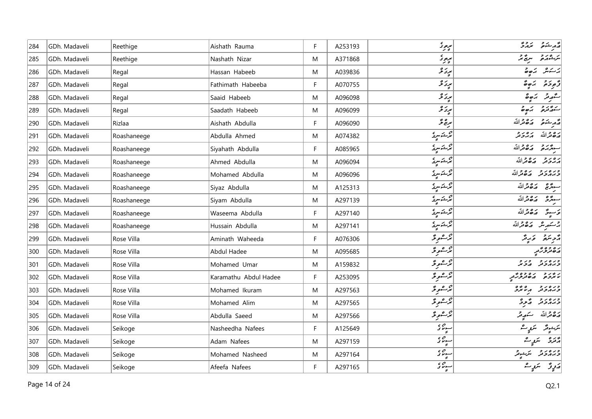| 284 | GDh. Madaveli | Reethige    | Aishath Rauma         | F  | A253193 | ېږمونه<br>نور                      | بروء<br>و مرکز دیگر<br>مرکز ک                                                                 |
|-----|---------------|-------------|-----------------------|----|---------|------------------------------------|-----------------------------------------------------------------------------------------------|
| 285 | GDh. Madaveli | Reethige    | Nashath Nizar         | M  | A371868 | ىرە<br>ئەر                         | سرچ تر<br>سرشور و                                                                             |
| 286 | GDh. Madaveli | Regal       | Hassan Habeeb         | M  | A039836 | ىپرى پى                            | برسەيىتە                                                                                      |
| 287 | GDh. Madaveli | Regal       | Fathimath Habeeba     | F. | A070755 | ىپە ئەنتى                          | $\overset{\circ}{\circ}\overset{\circ}{\circ}\overset{\circ}{\scriptstyle{\cdot}}$<br>و څو څه |
| 288 | GDh. Madaveli | Regal       | Saaid Habeeb          | M  | A096098 | ىپرىكى                             | $\overset{o}{\circ} \overset{\prime}{\circ}$<br>ستهرمتر                                       |
| 289 | GDh. Madaveli | Regal       | Saadath Habeeb        | M  | A096099 | ىرىمى بى                           | גזרק גם                                                                                       |
| 290 | GDh. Madaveli | Rizlaa      | Aishath Abdulla       | F  | A096090 | ىرىج ئۇ                            | صمر منعم وكالحدالله                                                                           |
| 291 | GDh. Madaveli | Roashaneege | Abdulla Ahmed         | M  | A074382 | لتحريثه يبركه                      | ەھىراللە<br>ەردە                                                                              |
| 292 | GDh. Madaveli | Roashaneege | Siyahath Abdulla      | F  | A085965 | ئۇيغۇمىيونكە                       | مَصْعَراللَّه<br>سەدىر د                                                                      |
| 293 | GDh. Madaveli | Roashaneege | Ahmed Abdulla         | M  | A096094 | ترىشە يېرىكە                       | برورد بره دالله                                                                               |
| 294 | GDh. Madaveli | Roashaneege | Mohamed Abdulla       | M  | A096096 | ئۇيسىدىپوتىك                       | ورورو رهة الله                                                                                |
| 295 | GDh. Madaveli | Roashaneege | Siyaz Abdulla         | M  | A125313 | ئۇيغۇمىيە ئە<br>                   | ەھىراللە<br>سيورسح                                                                            |
| 296 | GDh. Madaveli | Roashaneege | Siyam Abdulla         | M  | A297139 | ە<br>ئىرىشەس <sub>ىرى</sub> گە     | ەھىراللە<br>سەدىر                                                                             |
| 297 | GDh. Madaveli | Roashaneege | Waseema Abdulla       | F  | A297140 | ترىشەسرىگە                         | ە سەرىخ<br>وكحافرالله                                                                         |
| 298 | GDh. Madaveli | Roashaneege | Hussain Abdulla       | M  | A297141 | ئۇيغۇس <sub>ى</sub><br>            | جرسكمريثر الاقتصالله                                                                          |
| 299 | GDh. Madaveli | Rose Villa  | Aminath Waheeda       | F  | A076306 | ئۇس <sup>ق</sup> ورى <i>گە</i>     | أأروبتهم وكبيتر                                                                               |
| 300 | GDh. Madaveli | Rose Villa  | <b>Abdul Hadee</b>    | M  | A095685 | ترىشوقر                            | ړه وه ژبې                                                                                     |
| 301 | GDh. Madaveli | Rose Villa  | Mohamed Umar          | M  | A159832 | ترىشوقر                            | כנסני כני<br>כגמבת הכת                                                                        |
| 302 | GDh. Madaveli | Rose Villa  | Karamathu Abdul Hadee | F. | A253095 | لرمشفرقر                           | ג דו כ גם כם בי<br>מינגרים ומיסינגיליג                                                        |
| 303 | GDh. Madaveli | Rose Villa  | Mohamed Ikuram        | M  | A297563 | ترشوقه                             | ەر ئەمۇر<br>و ر ه ر د<br>د بر پر تر                                                           |
| 304 | GDh. Madaveli | Rose Villa  | Mohamed Alim          | M  | A297565 | لرمشوقر                            | رحمور<br>و ره ر و<br>تر پر ژنگر                                                               |
| 305 | GDh. Madaveli | Rose Villa  | Abdulla Saeed         | M  | A297566 | ئۇس <sup>ق</sup> ور ئ <sup>ۇ</sup> | رەقراللە<br>ستهيقر                                                                            |
| 306 | GDh. Madaveli | Seikoge     | Nasheedha Nafees      | F  | A125649 | $rac{\epsilon}{\epsilon}$          | للركوش الكريات                                                                                |
| 307 | GDh. Madaveli | Seikoge     | Adam Nafees           | M  | A297159 | $rac{\epsilon}{\epsilon}$          | پور ہ<br>دگرو<br>ىئىر يە                                                                      |
| 308 | GDh. Madaveli | Seikoge     | Mohamed Nasheed       | M  | A297164 | $rac{\epsilon}{\epsilon}$          | و ر ه ر و<br>تر پر ژ تر<br>سکرے وقر<br>پی                                                     |
| 309 | GDh. Madaveli | Seikoge     | Afeefa Nafees         | F  | A297165 | $rac{\epsilon}{\epsilon}$          | مَرِرْ سَرِے                                                                                  |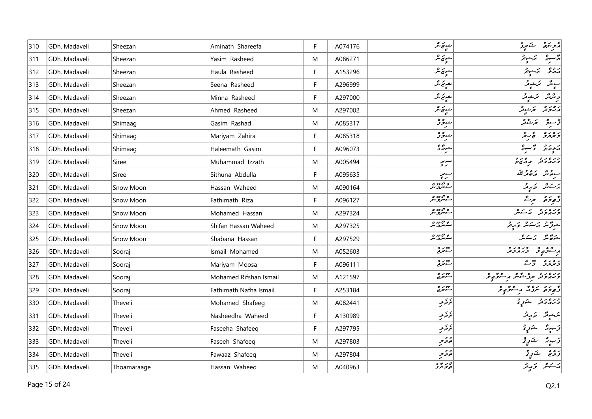| 310 | GDh. Madaveli | Sheezan     | Aminath Shareefa       | F         | A074176 | <sub>ىشىچ</sub> ىگر            | و برد شهروً<br>مرد منه شهروً         |
|-----|---------------|-------------|------------------------|-----------|---------|--------------------------------|--------------------------------------|
| 311 | GDh. Madaveli | Sheezan     | Yasim Rasheed          | ${\sf M}$ | A086271 | ىشوىچە مىگر                    |                                      |
| 312 | GDh. Madaveli | Sheezan     | Haula Rasheed          | F         | A153296 | <sub>ىشىپ</sub> ىچە ئىگر       |                                      |
| 313 | GDh. Madaveli | Sheezan     | Seena Rasheed          | F         | A296999 | <sub>ىشىچ</sub> ىگر            | سېنگر گرېشونگر<br>گ                  |
| 314 | GDh. Madaveli | Sheezan     | Minna Rasheed          | F         | A297000 | <sub>ىشىپ</sub> ىچە ئىگر       | -<br>جەنئىنگە سىمئىسىدىگە            |
| 315 | GDh. Madaveli | Sheezan     | Ahmed Rasheed          | ${\sf M}$ | A297002 | ىنى <sub>يە</sub> تەڭر         | رەرد كرشونر                          |
| 316 | GDh. Madaveli | Shimaag     | Gasim Rashad           | M         | A085317 | شوڅ و<br>مر                    | <br>  ئۇسىر <i>ى مۇ</i> شۇن <i>ر</i> |
| 317 | GDh. Madaveli | Shimaaq     | Mariyam Zahira         | F         | A085318 | شور ده<br>مر                   | د ۱۵ د ص مح مريگر                    |
| 318 | GDh. Madaveli | Shimaag     | Haleemath Gasim        | F         | A096073 | شوڅ <sup>و</sup>               | پر پرې د کار دی.                     |
| 319 | GDh. Madaveli | Siree       | Muhammad Izzath        | ${\sf M}$ | A005494 | سومر<br>مرنخ                   | כנסנב הסנב<br>כמהכת ההשם             |
| 320 | GDh. Madaveli | Siree       | Sithuna Abdulla        | F         | A095635 | سومر                           | سومح محر محدثة الله                  |
| 321 | GDh. Madaveli | Snow Moon   | Hassan Waheed          | M         | A090164 | <u>ه ۶</u> دو ه                | پرسترس کارینگر                       |
| 322 | GDh. Madaveli | Snow Moon   | Fathimath Riza         | F         | A096127 | ه ۵ دو ه<br>سومبرچ مګر         | قەر ئەستىسى ئەستىكى ئە               |
| 323 | GDh. Madaveli | Snow Moon   | Mohamed Hassan         | ${\sf M}$ | A297324 | ه ۵ دو ه<br>سوسرچ مگر          | ورەرو پەسكىر                         |
| 324 | GDh. Madaveli | Snow Moon   | Shifan Hassan Waheed   | M         | A297325 | ه ۵ دو ه<br>سرمربر             | خوژ تر بر کندگر او بر برگر           |
| 325 | GDh. Madaveli | Snow Moon   | Shabana Hassan         | F         | A297529 | ه ۵ دو ه<br>سوسرچ مر           | شۇڭ ئەسكىر                           |
| 326 | GDh. Madaveli | Sooraj      | Ismail Mohamed         | M         | A052603 | دو پر ہ<br>سنوبول              | ر مؤرو وبرورو                        |
| 327 | GDh. Madaveli | Sooraj      | Mariyam Moosa          | F         | A096111 | ردور ہ                         | و ده ده دورم                         |
| 328 | GDh. Madaveli | Sooraj      | Mohamed Rifshan Ismail | M         | A121597 | ستمترج                         | ورەرو بروڅوش پر شوڅړی و              |
| 329 | GDh. Madaveli | Sooraj      | Fathimath Nafha Ismail | F         | A253184 | ردور ہ                         | وتجودة للاثم والمتوارق               |
| 330 | GDh. Madaveli | Theveli     | Mohamed Shafeeg        | M         | A082441 | ء ۽ م                          | ورەرو شۆرچ                           |
| 331 | GDh. Madaveli | Theveli     | Nasheedha Waheed       | F         | A130989 | پرء مر                         | ىكرىشونگر كۆپرى <i>گ</i> ر           |
| 332 | GDh. Madaveli | Theveli     | Faseeha Shafeeq        | F         | A297795 | ەءىر                           | وَسِيدٌ الشَّمَوِيْنَ                |
| 333 | GDh. Madaveli | Theveli     | Faseeh Shafeeq         | ${\sf M}$ | A297803 | ء ء مر                         | تزجيد التقوية                        |
| 334 | GDh. Madaveli | Theveli     | Fawaaz Shafeeq         | ${\sf M}$ | A297804 | پرء مر                         | ترة في منتموية                       |
| 335 | GDh. Madaveli | Thoamaraage | Hassan Waheed          | M         | A040963 | 0 ر د د<br>ح <del>و</del> بو د | پرسته تھ ایر تھ                      |
|     |               |             |                        |           |         |                                |                                      |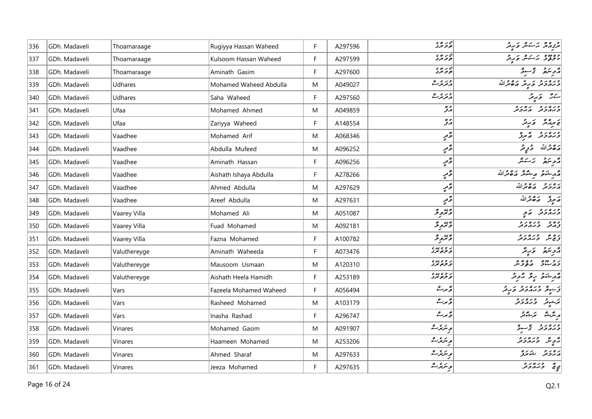| 336 | GDh. Madaveli | Thoamaraage    | Rugiyya Hassan Waheed  | F  | A297596 | ہ ر ر ر<br>حومت تری                                 | مردم يركبكما وكبار                                                                                   |
|-----|---------------|----------------|------------------------|----|---------|-----------------------------------------------------|------------------------------------------------------------------------------------------------------|
| 337 | GDh. Madaveli | Thoamaraage    | Kulsoom Hassan Waheed  | F  | A297599 | ج ر پر پر<br>حوف مر <sub>ک</sub>                    | ده دده در سره در د                                                                                   |
| 338 | GDh. Madaveli | Thoamaraage    | Aminath Gasim          | F. | A297600 | 0 ر ه د<br>ح <del>و</del> بو د                      | أأروبتهم تخسوه                                                                                       |
| 339 | GDh. Madaveli | Udhares        | Mohamed Waheed Abdulla | M  | A049027 | د ر ، م<br>مرمرسه                                   | وره رو كرو كره والله                                                                                 |
| 340 | GDh. Madaveli | <b>Udhares</b> | Saha Waheed            | F  | A297560 | ە ئەرىئە ھ                                          | سترجى المحاريثر                                                                                      |
| 341 | GDh. Madaveli | Ufaa           | Mohamed Ahmed          | M  | A049859 | پۇ                                                  | כנסנכ נסנכ<br>כגמכת הגבת                                                                             |
| 342 | GDh. Madaveli | Ufaa           | Zariyya Waheed         | F  | A148554 | پۇ                                                  | كالمجمير والمحر وتحرير                                                                               |
| 343 | GDh. Madaveli | Vaadhee        | Mohamed Arif           | M  | A068346 | ر<br>ح م <sub>ي</sub>                               | ورەرو ئەبرى                                                                                          |
| 344 | GDh. Madaveli | Vaadhee        | Abdulla Mufeed         | M  | A096252 | ءِ<br>حومرِ                                         | أشكام ومحيد                                                                                          |
| 345 | GDh. Madaveli | Vaadhee        | Aminath Hassan         | F  | A096256 | حٌسٍ                                                | أأزوينهم برسكس                                                                                       |
| 346 | GDh. Madaveli | Vaadhee        | Aishath Ishaya Abdulla | F  | A278266 | ر<br>ح <sup>5</sup> س                               | أقرم شرق صفحتم وتحفرالله                                                                             |
| 347 | GDh. Madaveli | Vaadhee        | Ahmed Abdulla          | M  | A297629 | حٌسٍ                                                | برورد بره دالله                                                                                      |
| 348 | GDh. Madaveli | Vaadhee        | Areef Abdulla          | M  | A297631 | ر<br>حگمي                                           | أصبرو صكافته                                                                                         |
| 349 | GDh. Madaveli | Vaarey Villa   | Mohamed Ali            | M  | A051087 | ل <sup>وي</sup> عرعر محر                            | ورەرو كەي                                                                                            |
| 350 | GDh. Madaveli | Vaarey Villa   | Fuad Mohamed           | M  | A092181 | ە ،،<br>قەنىرە ب <sup>ى</sup> ر                     | כש כנסנב<br>צַמט כגמכט                                                                               |
| 351 | GDh. Madaveli | Vaarey Villa   | Fazna Mohamed          | F  | A100782 | و پر <sub>وگ</sub>                                  | ره شهر ۲۶۵۰۶<br>زی شر د بر مرد تر                                                                    |
| 352 | GDh. Madaveli | Valuthereyge   | Aminath Waheeda        | F. | A073476 | ر و ، <u>،</u> ، ،<br>ح <b>ر</b> حو <del>م</del> رد | أُرُح مَرَ مَدِيَّرٌ                                                                                 |
| 353 | GDh. Madaveli | Valuthereyge   | Mausoom Usmaan         | M  | A120310 | ر و ، د، ،<br>و <del>و</del> ه برد                  | ر و دوه وه ده و                                                                                      |
| 354 | GDh. Madaveli | Valuthereyge   | Aishath Heela Hamidh   | F. | A253189 | ر و ، <u>،</u> ، ،<br>و <del>و</del> بو بر د        | أەر مىنىم بىر ئەرەر                                                                                  |
| 355 | GDh. Madaveli | Vars           | Fazeela Mohamed Waheed | F  | A056494 | ۇ بىر ھ                                             | تخ المسوء المحمدة المحمدة المحمدة المحمدة المحمدة المحمدة المحمدة المحمدة المحمدة المحمدة المحمدة ال |
| 356 | GDh. Madaveli | Vars           | Rasheed Mohamed        | M  | A103179 | ۇ برر ھ                                             | كرشوتر ورورو                                                                                         |
| 357 | GDh. Madaveli | Vars           | Inasha Rashad          | F  | A296747 | ۇ بر م                                              | بر سَرَجَةً - سَرَجَةً مَرْ                                                                          |
| 358 | GDh. Madaveli | Vinares        | Mohamed Gasim          | M  | A091907 | <sub>ع</sub> بىر ئەر م                              | ورەرو ئەسو                                                                                           |
| 359 | GDh. Madaveli | Vinares        | Haameen Mohamed        | M  | A253206 | <sub>ع</sub> سر پر م                                | گر دره در در                                                                                         |
| 360 | GDh. Madaveli | Vinares        | Ahmed Sharaf           | M  | A297633 | موسَدعه قسم                                         | رەرد شەرە                                                                                            |
| 361 | GDh. Madaveli | Vinares        | Jeeza Mohamed          | F. | A297635 | مریز که                                             | مِي صَحْرِهِ رِحْرِ                                                                                  |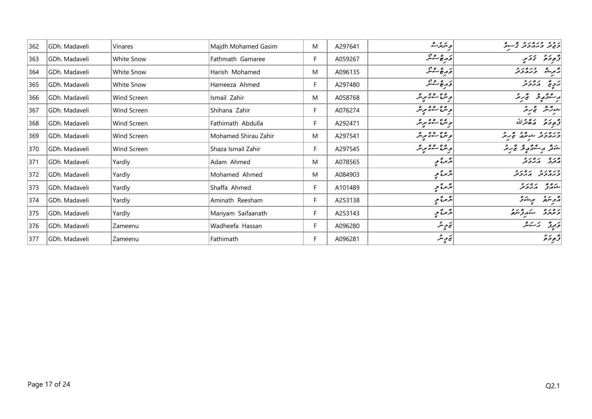| 362 | GDh. Madaveli | <b>Vinares</b> | Majdh Mohamed Gasim  | M  | A297641 | ە ئىرىزىشە                                       | د د د د د د د و پر دو<br>  د ي تر او بر پر د تر او د و |
|-----|---------------|----------------|----------------------|----|---------|--------------------------------------------------|--------------------------------------------------------|
| 363 | GDh. Madaveli | White Snow     | Fathmath Gamaree     | F. | A059267 | ئەرۋىشى                                          | أزودة تزوير                                            |
| 364 | GDh. Madaveli | White Snow     | Harish Mohamed       | M  | A096135 | ئەرەپ مەش                                        | و ره ر د<br>رنگرونر<br>  پڑ برے<br>                    |
| 365 | GDh. Madaveli | White Snow     | Hameeza Ahmed        | F. | A297480 | ىر ۋە شەش                                        | پَرچ کا کارور                                          |
| 366 | GDh. Madaveli | Wind Screen    | Ismail Zahir         | M  | A058768 | عەشقا شىشمىرىش                                   | ار شۇر ئىم ئىم ئىر                                     |
| 367 | GDh. Madaveli | Wind Screen    | Shihana Zahir        | F. | A076274 | <i>و</i> ېترن <u>ډ شري</u> مبرسر                 | لمفاركتين المج بالركز                                  |
| 368 | GDh. Madaveli | Wind Screen    | Fathimath Abdulla    | F. | A292471 | <sub>ع</sub> رمي <sup>ء</sup> سن <i>دمير مير</i> | وتجرحر وكالله                                          |
| 369 | GDh. Madaveli | Wind Screen    | Mohamed Shirau Zahir | M  | A297541 | ا <sub>عە</sub> مىدى مەھم بىرىش                  | ورەرو جىدە ئەر                                         |
| 370 | GDh. Madaveli | Wind Screen    | Shaza Ismail Zahir   | F. | A297545 | ویژه مشروعهویتر                                  | شَوَقَرْ مِرْ سَوَّمْ مِرْ مَجْرَ مِرْ                 |
| 371 | GDh. Madaveli | Yardly         | Adam Ahmed           | M  | A078565 | ېژ <sub>ىم ئ</sub> ېي<br>پ                       | وره رور و<br>د ترو مرکز                                |
| 372 | GDh. Madaveli | Yardly         | Mohamed Ahmed        | M  | A084903 | تر بر ؟ مهِ                                      | כנסנכ נסנכ<br>כגמכת הגכת                               |
| 373 | GDh. Madaveli | Yardly         | Shaffa Ahmed         | F. | A101489 | ترسد؟ مبر                                        | شەرە ئۇ<br>پر و پر و                                   |
| 374 | GDh. Madaveli | Yardly         | Aminath Reesham      | F. | A253138 | ېژ <sub>ىم ئ</sub> و پە                          | أثرجه تنعج<br>سر شکر <sup>0</sup><br>سر                |
| 375 | GDh. Madaveli | Yardly         | Mariyam Saifaanath   | F. | A253143 | ترسره مير                                        | دەرە بەرۇپرو                                           |
| 376 | GDh. Madaveli | Zameenu        | Wadheefa Hassan      | F. | A096280 | ئچ جەنتىر                                        | وَمَرِوٌ = يَرَ سَرَسٌ                                 |
| 377 | GDh. Madaveli | Zameenu        | Fathimath            | F. | A096281 | ئج جرىتر                                         | ۇ بوز ئە                                               |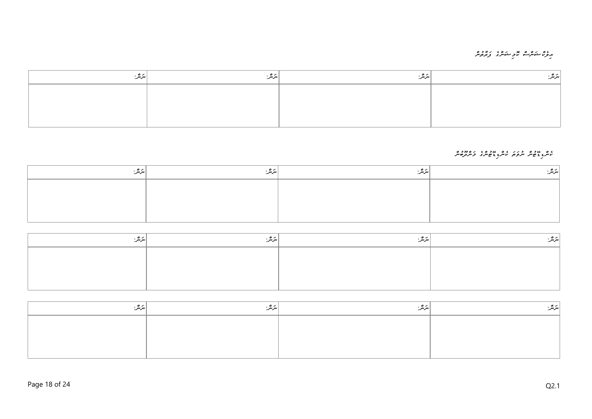## *w7qAn8m? sCw7mRo>u; wEw7mRw;sBo<*

| ' مرمر | 'يئرىثر: |
|--------|----------|
|        |          |
|        |          |
|        |          |

## *w7q9r@w7m> sCw7qHtFoFw7s; mAm=q7 w7qHtFoFw7s;*

| ىر تە | $\mathcal{O} \times$<br>$\sim$ | $\sim$<br>. . | لترنثر |
|-------|--------------------------------|---------------|--------|
|       |                                |               |        |
|       |                                |               |        |
|       |                                |               |        |

| $\frac{2}{n}$ | $\overline{\phantom{a}}$ | اير هنه. | $\mathcal{O} \times$<br>سرسر |
|---------------|--------------------------|----------|------------------------------|
|               |                          |          |                              |
|               |                          |          |                              |
|               |                          |          |                              |

| ' ئىرتىر: | سر سر |  |
|-----------|-------|--|
|           |       |  |
|           |       |  |
|           |       |  |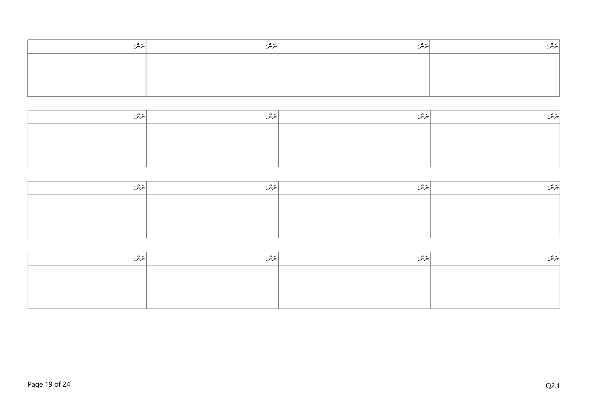| يزهر | $^{\circ}$ | ىئرىتر: |  |
|------|------------|---------|--|
|      |            |         |  |
|      |            |         |  |
|      |            |         |  |

| متريثر به | 。<br>َ سرسر ِ | يتزيترا | سرسر |
|-----------|---------------|---------|------|
|           |               |         |      |
|           |               |         |      |
|           |               |         |      |

| ىئرىتر. | $\sim$ | ا بر هه. | لىرىش |
|---------|--------|----------|-------|
|         |        |          |       |
|         |        |          |       |
|         |        |          |       |

| 。<br>مرس. | $\overline{\phantom{a}}$<br>مر مىر | يتريثر |
|-----------|------------------------------------|--------|
|           |                                    |        |
|           |                                    |        |
|           |                                    |        |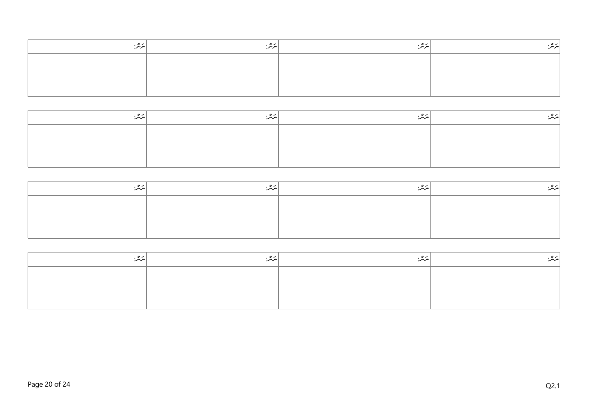| ير هو . | $\overline{\phantom{a}}$ | يرمر | اير هنه. |
|---------|--------------------------|------|----------|
|         |                          |      |          |
|         |                          |      |          |
|         |                          |      |          |

| ىر تىر: | $\circ$ $\sim$<br>" سرسر . | يبرحه | o . |
|---------|----------------------------|-------|-----|
|         |                            |       |     |
|         |                            |       |     |
|         |                            |       |     |

| 'تترنثر: | . .<br>يسمونس. |  |
|----------|----------------|--|
|          |                |  |
|          |                |  |
|          |                |  |

|  | . ه |
|--|-----|
|  |     |
|  |     |
|  |     |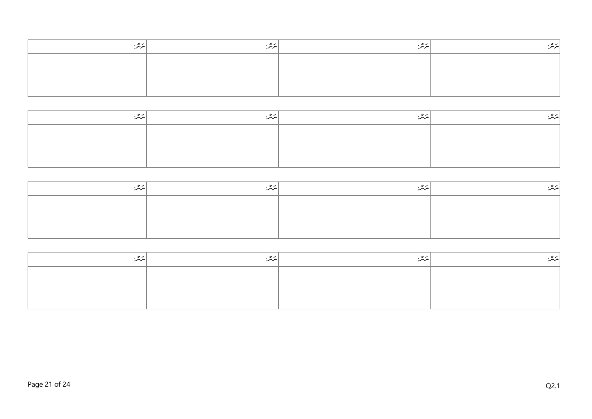| ير هو . | $\overline{\phantom{a}}$ | يرمر | اير هنه. |
|---------|--------------------------|------|----------|
|         |                          |      |          |
|         |                          |      |          |
|         |                          |      |          |

| ئىرتىر: | $\sim$<br>ا سرسر . | يئرمثر | o . |
|---------|--------------------|--------|-----|
|         |                    |        |     |
|         |                    |        |     |
|         |                    |        |     |

| 'تترنثر: | 。<br>,,,, |  |
|----------|-----------|--|
|          |           |  |
|          |           |  |
|          |           |  |

|  | . ه |
|--|-----|
|  |     |
|  |     |
|  |     |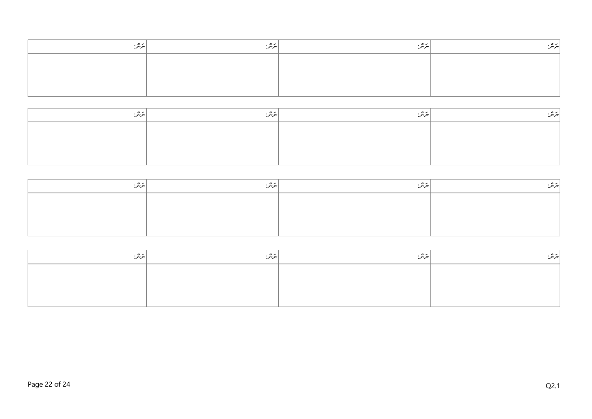| $\cdot$ | 。 | $\frac{\circ}{\cdot}$ | $\sim$<br>سرسر |
|---------|---|-----------------------|----------------|
|         |   |                       |                |
|         |   |                       |                |
|         |   |                       |                |

| يريثن | ' سرسر . |  |
|-------|----------|--|
|       |          |  |
|       |          |  |
|       |          |  |

| بر ه | . ه | $\sim$<br>سرسر |  |
|------|-----|----------------|--|
|      |     |                |  |
|      |     |                |  |
|      |     |                |  |

| 。<br>. س | ىرىىر |  |
|----------|-------|--|
|          |       |  |
|          |       |  |
|          |       |  |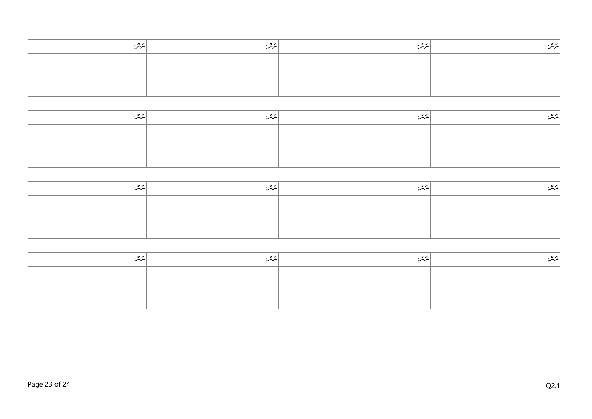| ير هو . | $\overline{\phantom{a}}$ | يرمر | اير هنه. |
|---------|--------------------------|------|----------|
|         |                          |      |          |
|         |                          |      |          |
|         |                          |      |          |

| ىر تىر: | $\circ$ $\sim$<br>" سرسر . | يبرحه | o . |
|---------|----------------------------|-------|-----|
|         |                            |       |     |
|         |                            |       |     |
|         |                            |       |     |

| انترنثر: | ر ه |  |
|----------|-----|--|
|          |     |  |
|          |     |  |
|          |     |  |

|  | . ه |
|--|-----|
|  |     |
|  |     |
|  |     |